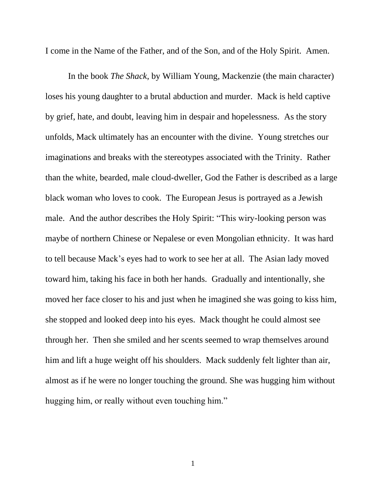I come in the Name of the Father, and of the Son, and of the Holy Spirit. Amen.

In the book *The Shack*, by William Young, Mackenzie (the main character) loses his young daughter to a brutal abduction and murder. Mack is held captive by grief, hate, and doubt, leaving him in despair and hopelessness. As the story unfolds, Mack ultimately has an encounter with the divine. Young stretches our imaginations and breaks with the stereotypes associated with the Trinity. Rather than the white, bearded, male cloud-dweller, God the Father is described as a large black woman who loves to cook. The European Jesus is portrayed as a Jewish male. And the author describes the Holy Spirit: "This wiry-looking person was maybe of northern Chinese or Nepalese or even Mongolian ethnicity. It was hard to tell because Mack's eyes had to work to see her at all. The Asian lady moved toward him, taking his face in both her hands. Gradually and intentionally, she moved her face closer to his and just when he imagined she was going to kiss him, she stopped and looked deep into his eyes. Mack thought he could almost see through her. Then she smiled and her scents seemed to wrap themselves around him and lift a huge weight off his shoulders. Mack suddenly felt lighter than air, almost as if he were no longer touching the ground. She was hugging him without hugging him, or really without even touching him."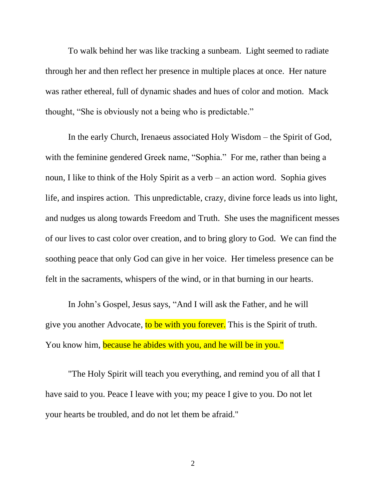To walk behind her was like tracking a sunbeam. Light seemed to radiate through her and then reflect her presence in multiple places at once. Her nature was rather ethereal, full of dynamic shades and hues of color and motion. Mack thought, "She is obviously not a being who is predictable."

In the early Church, Irenaeus associated Holy Wisdom – the Spirit of God, with the feminine gendered Greek name, "Sophia." For me, rather than being a noun, I like to think of the Holy Spirit as a verb – an action word. Sophia gives life, and inspires action. This unpredictable, crazy, divine force leads us into light, and nudges us along towards Freedom and Truth. She uses the magnificent messes of our lives to cast color over creation, and to bring glory to God. We can find the soothing peace that only God can give in her voice. Her timeless presence can be felt in the sacraments, whispers of the wind, or in that burning in our hearts.

In John's Gospel, Jesus says, "And I will ask the Father, and he will give you another Advocate, to be with you forever. This is the Spirit of truth. You know him, because he abides with you, and he will be in you."

"The Holy Spirit will teach you everything, and remind you of all that I have said to you. Peace I leave with you; my peace I give to you. Do not let your hearts be troubled, and do not let them be afraid."

2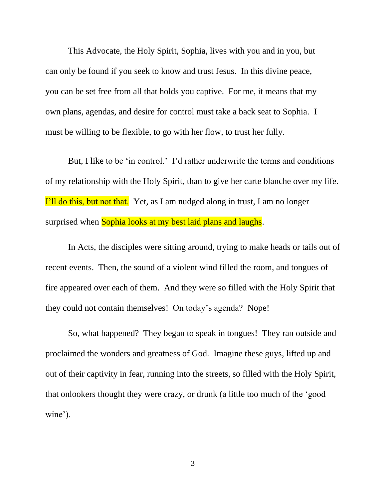This Advocate, the Holy Spirit, Sophia, lives with you and in you, but can only be found if you seek to know and trust Jesus. In this divine peace, you can be set free from all that holds you captive. For me, it means that my own plans, agendas, and desire for control must take a back seat to Sophia. I must be willing to be flexible, to go with her flow, to trust her fully.

But, I like to be 'in control.' I'd rather underwrite the terms and conditions of my relationship with the Holy Spirit, than to give her carte blanche over my life. I'll do this, but not that. Yet, as I am nudged along in trust, I am no longer surprised when Sophia looks at my best laid plans and laughs.

In Acts, the disciples were sitting around, trying to make heads or tails out of recent events. Then, the sound of a violent wind filled the room, and tongues of fire appeared over each of them. And they were so filled with the Holy Spirit that they could not contain themselves! On today's agenda? Nope!

So, what happened? They began to speak in tongues! They ran outside and proclaimed the wonders and greatness of God. Imagine these guys, lifted up and out of their captivity in fear, running into the streets, so filled with the Holy Spirit, that onlookers thought they were crazy, or drunk (a little too much of the 'good wine').

3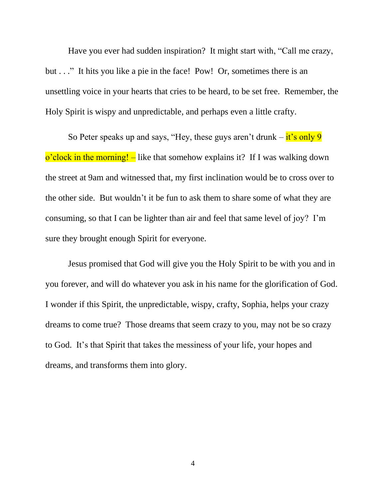Have you ever had sudden inspiration? It might start with, "Call me crazy, but . . ." It hits you like a pie in the face! Pow! Or, sometimes there is an unsettling voice in your hearts that cries to be heard, to be set free. Remember, the Holy Spirit is wispy and unpredictable, and perhaps even a little crafty.

So Peter speaks up and says, "Hey, these guys aren't drunk  $-\frac{it}{s}$  only 9  $\alpha'$ clock in the morning! – like that somehow explains it? If I was walking down the street at 9am and witnessed that, my first inclination would be to cross over to the other side. But wouldn't it be fun to ask them to share some of what they are consuming, so that I can be lighter than air and feel that same level of joy? I'm sure they brought enough Spirit for everyone.

Jesus promised that God will give you the Holy Spirit to be with you and in you forever, and will do whatever you ask in his name for the glorification of God. I wonder if this Spirit, the unpredictable, wispy, crafty, Sophia, helps your crazy dreams to come true? Those dreams that seem crazy to you, may not be so crazy to God. It's that Spirit that takes the messiness of your life, your hopes and dreams, and transforms them into glory.

4